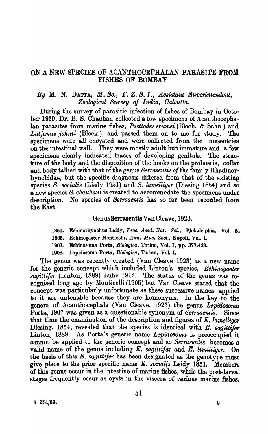# ON A NEW SPECIES OF ACANTHOCEPHALAN PARASITE FROM FISHES OF BOMBAY

## *By* M. N. DATTA, *M. Se., F.* Z. *S. I., Assistant Superintendent, Zoological Survey of India, Oalcutta.*

During the survey of parasitic infection of fishes of Bombay in October 1939, Dr. B. S. Chauhan collected a few specimens of Acanthocephalan parasites from marine fishes, *Psettodes erumei* (Bloch. & Schn.) and *Lutjanus johnii* (Block.), and passed them on to me for study. The specimens were all encysted and were collected from the mesentries on the intestinal wall. They were mostly adult but immature and a few speoimens clearly indicated traces of developing genitals. The structure of the body and the disposition of the hooks on the proboscis, collar and body tallied with that of the genus *Serrasentis of* the family Rhadinorhynchidae, but the specific diagnosis differed from that of the existing species *S. socialis* (Liedy 1951) and *S. lamelliger* (Diesing 1854) and so a new species *S. chauhani* is created to accommodate the specimens under desoription. No species of *Serrasentis* has so far been reoorded from the East.

## GenusSerrasentis Van Cleave, 1923.

1851. Eohinorhynchus Leidy, *Proc. Acad. Nat. Sci.,* Ppiladelphia, Vol. 5.

- 1905. Echinogaster Monticelli, *Ann. MU8. Zool.,* Napoli. Vol. I.,
- 1907. Echinosoma Porta, *Biologica*, Torino, Vol. I, pp. 377-423.
- 1908. Lapidosoma. Porta, *Biologica,* Torino, Vol. I.

The genus was recently created (Van Cleave 1923) as a new name for the generic concept which included Linton's species, *Echinogaster sagittifer* (Linton, 1889) Luhe 1912. The status of the genus was recognised long ago by Monticelli (1905) but Van Cleave stated that the concept was particularly unfortunate as these successive names applied to it are untenable because they are homonyms. In the key to the genera of Acanthocephala (Van Cleave, 1923) the genus *Lepidosoma*  Porta, 1907 was given as a questionable synonym of *Serrasentis.* Since that time the examination of the description and figures of E. *lamelliger*  Diesing, 1854, revealed that the species is identical with E. *sagittifer* Linton, 1889. As Porta's generic name *Lepidosoma* is preoccupied it cannot be applied to the generic concept and so *Serrasentis* becomes a valid name of the genus inoluding *E. sagittifar* and *E. limilliger.* On the basis of this *E. sagittifer* has been designated as the genotype must give place to the prior specific name *E. socialis* Leidy 1851. Members of this genus occur in the intestine of marine fishes, while the post-larval stages frequently ocour as oysts in the viscera of various marine fishes.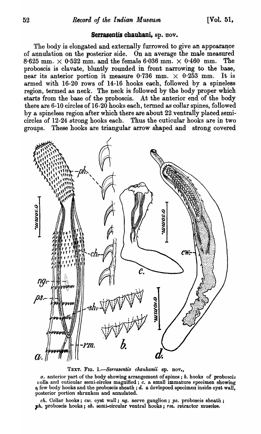### Serrasentis chauhani, sp. nov.

The body is elongated and externally furrowed to give an appearance of annulation on the posterior side. On an average the male measured  $8.625$  mm.  $\times$  0.522 mm. and the female 6.036 mm.  $\times$  0.460 mm. The proboscis is clavate, bluntly rounded in front narrowing to the base, near its anterior portion it measure 0.736 mm.  $\times$  0.253 mm. It is armed with 16-20 rows of 14-16 hooks each, followed by a spineless region, termed as neck. The neck is followed by the body proper which starts from the base of the proboscis. At the anterior end of the body there are 6-10 circles of 16-20 hooks each, termed as collar spines, followed by a spineless region after which there are about 22 ventrally placed semicircles of 12-24 strong hooks each. Thus the cuticular hooks are in two groups. These hooks are triangular arrow shaped and strong covered



TEXT. FIG. 1.-Serrasentis chauhanii sp. nov.,

a. anterior part of the body showing arrangement of spines; b. hooks of proboscis colla and cuticular semi-circles magnified; c. a small immature specimen showing a few body hooks and the proboscis sheath; d. a devlepoed specimen inside cyst wall, posterior portion shrunken and annulated.

 $ch.$  Collar hooks;  $cw.$  cyst wall;  $ng.$  nerve ganglion;  $ps.$  proboscis sheath; ph. proboscis hooks; sh. semi-circular ventral hooks; rm. retractor muscles.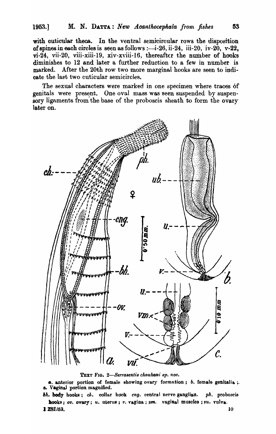with cuticular theca. In the ventral semicircular rows the disposition of spines in each circles is seen as follows :---i-26, ii-24, iii-20, iv-20,  $v$ -22, vi-24, vii-20, viii-xiii-19, xiv-xviii-16, thereafter the number of hooks diminishes to 12 and later a further reduction to a few in number is marked. After the 20th row two more marginal hooks are seen to indicate the last two cuticular semicircles.

The sexual characters were marked in one specimen where traces of genitals were present. One oval mass was seen suspended by suspensory ligaments from the base of the proboscis sheath to form the ovary later on.



TEXT FIG. 2-Serrasentis chauhani sp. nov.

a. anterior portion of female showing ovary formation; b. female genitalia; e. Vaginal portion magnified.

bh. body hooks; ch. collar hook eng. central nerve ganglian. ph. proboscis hooks; ov. ovary; u. uterus; v. vagina;  $\mu$ m. vaginal muscles; vu. vulva. 1 ZSI/53. 10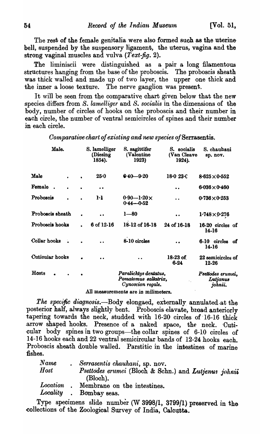The rest of the female genitalia were also formed such as the uterine bell, suspended by the suspensory ligament, the uterus, vagina and the strong vaginal muscles and vulva (Text-fig. 2).

The liminiscii were distinguished as a pair a long filamentous structures hanging from the base of the proboscis. The proboscis sheath was thick walled and made up of two layer, the upper one thick and the inner a loose texture. The nerve ganglion was present.

It will be seen from the comparative chart given below that the new species differs from S. lamelliger and S. socialis in the dimensions of the body, number of circles of hooks on the proboscis and their number in each circle, the number of ventral semicircles of spines and their number in each circle.

| Male.            | S. lamelliger<br>(Diesing)<br>1854). | S. sagittifer<br>(Valentine)<br>1923)                              | S. socialis<br>(Van Cleave<br>1924). | S. chauhani<br>sp. nov.                  |
|------------------|--------------------------------------|--------------------------------------------------------------------|--------------------------------------|------------------------------------------|
| Male             | 25.0                                 | $6.40 - 9.20$                                                      | $18 - 023 - C$                       | $8.625 \times 0.552$                     |
| Female.          | $\bullet$                            |                                                                    | $\bullet$                            | $6.036 \times 0.460$                     |
| Probosois        | $\mathbf{h}$                         | $0.90 - 1.20 \times$<br>$0.44 - 0.52$                              | $\ddot{\phantom{a}}$                 | 0.736 $\times$ 0.253                     |
| Proboscis sheath |                                      | $1 - 80$                                                           | $\bullet$                            | $1.748 \times 0.276$                     |
| Proboscis hooks  | 6 of 12-16                           | 18-12 of 16-18                                                     | 24 of 16-18                          | 16-20 circles of<br>14.16                |
| Collar hooks     |                                      | 8-10 circles                                                       |                                      | 6-10 circles<br>of<br>14-16              |
| Cutioular hooks  |                                      | $\ddot{\phantom{0}}$                                               | $18-23$ of<br>$6 - 24$               | 22 semicircles of<br>12-26               |
| Hosts            |                                      | Paralichtys dentatus,<br>Pomatomus saltatrix,<br>Cynoscion regale. |                                      | Psettodes erumei,<br>Lutjanus<br>johnii. |
|                  |                                      | All measurements are in milimeters                                 |                                      |                                          |

Comparative chart of existing and new species of Serrasentis.

The specific diagnosis.—Body elongaed, externally annulated at the posterior half, always slightly bent. Proboscis elavate, broad anteriorly tapering towards the neck, studded with 16-20 circles of 16-16 thick arrow shaped hooks. Presence of a naked space, the neck. Cuticular body spines in two groups—the collar spines of 6-10 circles of 14-16 hooks each and 22 ventral semicircular bands of 12-24 hooks each. Proboscis sheath double walled. Parstitic in the intestines of marine fishes.

| $\boldsymbol{Name}$ | Serrasentis chauhani, sp. nov.                       |
|---------------------|------------------------------------------------------|
| Host                | Psettodes erumei (Bloch & Schn.) and Lutjenus johnii |
|                     | (Bloch).                                             |
| $\it Location$      | Membrane on the intestines.                          |
| Locality            | Bombay seas.                                         |

Type specimens slide number (W 3998/1, 3799/1) preserved in the collections of the Zoological Survey of India, Calcutta.